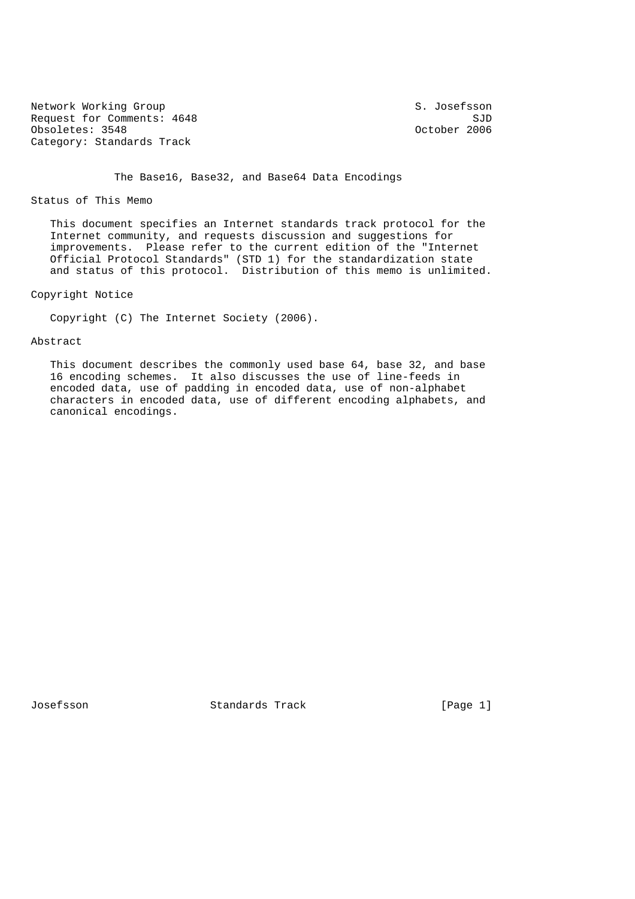Network Working Group S. Josefsson Request for Comments: 4648 SJD<br>
Obsoletes: 3548 SJD<br>
October 2006 Obsoletes: 3548 Category: Standards Track

The Base16, Base32, and Base64 Data Encodings

Status of This Memo

 This document specifies an Internet standards track protocol for the Internet community, and requests discussion and suggestions for improvements. Please refer to the current edition of the "Internet Official Protocol Standards" (STD 1) for the standardization state and status of this protocol. Distribution of this memo is unlimited.

Copyright Notice

Copyright (C) The Internet Society (2006).

## Abstract

 This document describes the commonly used base 64, base 32, and base 16 encoding schemes. It also discusses the use of line-feeds in encoded data, use of padding in encoded data, use of non-alphabet characters in encoded data, use of different encoding alphabets, and canonical encodings.

Josefsson Standards Track [Page 1]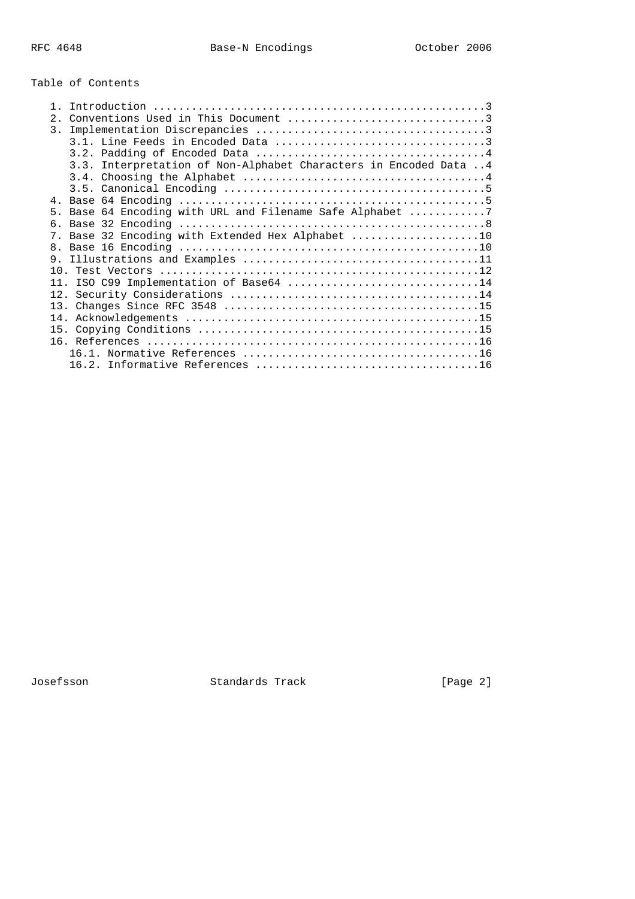# Table of Contents

| 2.                                                                |
|-------------------------------------------------------------------|
| 3.                                                                |
|                                                                   |
|                                                                   |
| 3.3. Interpretation of Non-Alphabet Characters in Encoded Data  4 |
|                                                                   |
|                                                                   |
|                                                                   |
| 5. Base 64 Encoding with URL and Filename Safe Alphabet 7         |
|                                                                   |
| 7                                                                 |
|                                                                   |
|                                                                   |
|                                                                   |
| 11. ISO C99 Implementation of Base64 14                           |
|                                                                   |
|                                                                   |
|                                                                   |
|                                                                   |
|                                                                   |
|                                                                   |
|                                                                   |

Josefsson Standards Track [Page 2]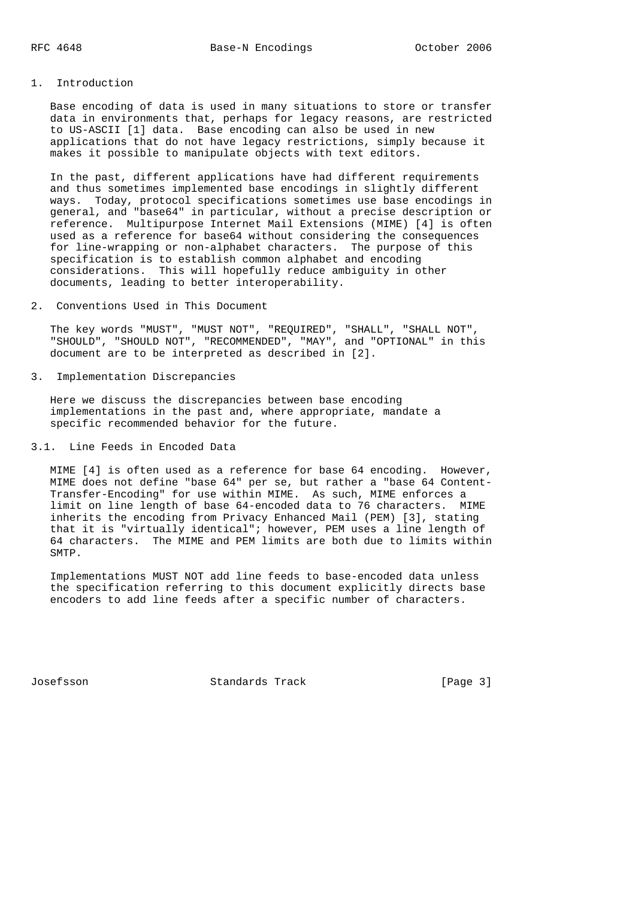# 1. Introduction

 Base encoding of data is used in many situations to store or transfer data in environments that, perhaps for legacy reasons, are restricted to US-ASCII [1] data. Base encoding can also be used in new applications that do not have legacy restrictions, simply because it makes it possible to manipulate objects with text editors.

 In the past, different applications have had different requirements and thus sometimes implemented base encodings in slightly different ways. Today, protocol specifications sometimes use base encodings in general, and "base64" in particular, without a precise description or reference. Multipurpose Internet Mail Extensions (MIME) [4] is often used as a reference for base64 without considering the consequences for line-wrapping or non-alphabet characters. The purpose of this specification is to establish common alphabet and encoding considerations. This will hopefully reduce ambiguity in other documents, leading to better interoperability.

2. Conventions Used in This Document

 The key words "MUST", "MUST NOT", "REQUIRED", "SHALL", "SHALL NOT", "SHOULD", "SHOULD NOT", "RECOMMENDED", "MAY", and "OPTIONAL" in this document are to be interpreted as described in [2].

3. Implementation Discrepancies

 Here we discuss the discrepancies between base encoding implementations in the past and, where appropriate, mandate a specific recommended behavior for the future.

3.1. Line Feeds in Encoded Data

 MIME [4] is often used as a reference for base 64 encoding. However, MIME does not define "base 64" per se, but rather a "base 64 Content- Transfer-Encoding" for use within MIME. As such, MIME enforces a limit on line length of base 64-encoded data to 76 characters. MIME inherits the encoding from Privacy Enhanced Mail (PEM) [3], stating that it is "virtually identical"; however, PEM uses a line length of 64 characters. The MIME and PEM limits are both due to limits within SMTP.

 Implementations MUST NOT add line feeds to base-encoded data unless the specification referring to this document explicitly directs base encoders to add line feeds after a specific number of characters.

Josefsson Standards Track [Page 3]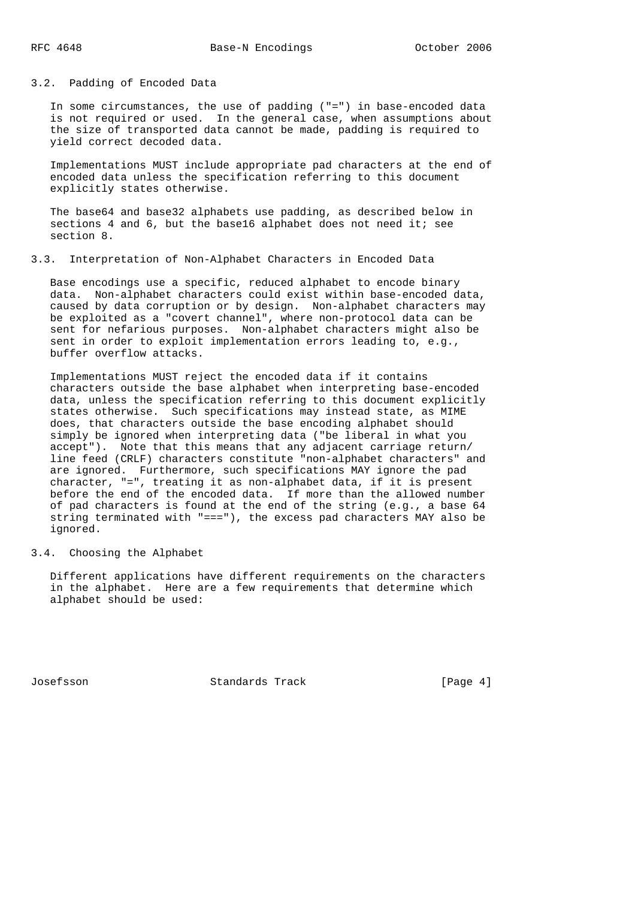3.2. Padding of Encoded Data

 In some circumstances, the use of padding ("=") in base-encoded data is not required or used. In the general case, when assumptions about the size of transported data cannot be made, padding is required to yield correct decoded data.

 Implementations MUST include appropriate pad characters at the end of encoded data unless the specification referring to this document explicitly states otherwise.

 The base64 and base32 alphabets use padding, as described below in sections 4 and 6, but the base16 alphabet does not need it; see section 8.

3.3. Interpretation of Non-Alphabet Characters in Encoded Data

 Base encodings use a specific, reduced alphabet to encode binary data. Non-alphabet characters could exist within base-encoded data, caused by data corruption or by design. Non-alphabet characters may be exploited as a "covert channel", where non-protocol data can be sent for nefarious purposes. Non-alphabet characters might also be sent in order to exploit implementation errors leading to, e.g., buffer overflow attacks.

 Implementations MUST reject the encoded data if it contains characters outside the base alphabet when interpreting base-encoded data, unless the specification referring to this document explicitly states otherwise. Such specifications may instead state, as MIME does, that characters outside the base encoding alphabet should simply be ignored when interpreting data ("be liberal in what you accept"). Note that this means that any adjacent carriage return/ line feed (CRLF) characters constitute "non-alphabet characters" and are ignored. Furthermore, such specifications MAY ignore the pad character, "=", treating it as non-alphabet data, if it is present before the end of the encoded data. If more than the allowed number of pad characters is found at the end of the string (e.g., a base 64 string terminated with "==="), the excess pad characters MAY also be ignored.

3.4. Choosing the Alphabet

 Different applications have different requirements on the characters in the alphabet. Here are a few requirements that determine which alphabet should be used:

Josefsson Standards Track [Page 4]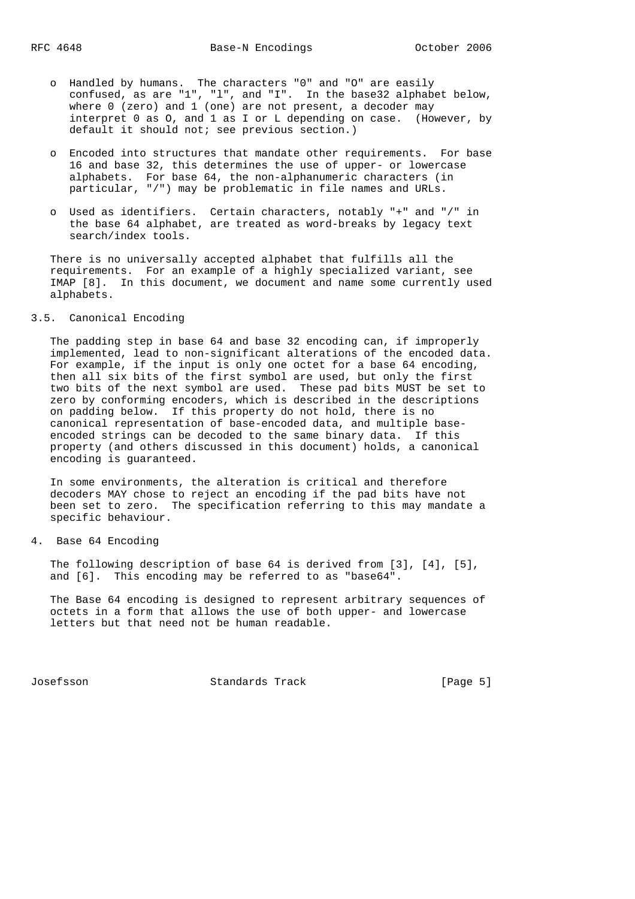- o Handled by humans. The characters "0" and "O" are easily confused, as are "1", "l", and "I". In the base32 alphabet below, where 0 (zero) and 1 (one) are not present, a decoder may interpret 0 as O, and 1 as I or L depending on case. (However, by default it should not; see previous section.)
	- o Encoded into structures that mandate other requirements. For base 16 and base 32, this determines the use of upper- or lowercase alphabets. For base 64, the non-alphanumeric characters (in particular, "/") may be problematic in file names and URLs.
	- o Used as identifiers. Certain characters, notably "+" and "/" in the base 64 alphabet, are treated as word-breaks by legacy text search/index tools.

 There is no universally accepted alphabet that fulfills all the requirements. For an example of a highly specialized variant, see IMAP [8]. In this document, we document and name some currently used alphabets.

# 3.5. Canonical Encoding

 The padding step in base 64 and base 32 encoding can, if improperly implemented, lead to non-significant alterations of the encoded data. For example, if the input is only one octet for a base 64 encoding, then all six bits of the first symbol are used, but only the first two bits of the next symbol are used. These pad bits MUST be set to zero by conforming encoders, which is described in the descriptions on padding below. If this property do not hold, there is no canonical representation of base-encoded data, and multiple base encoded strings can be decoded to the same binary data. If this property (and others discussed in this document) holds, a canonical encoding is guaranteed.

 In some environments, the alteration is critical and therefore decoders MAY chose to reject an encoding if the pad bits have not been set to zero. The specification referring to this may mandate a specific behaviour.

# 4. Base 64 Encoding

 The following description of base 64 is derived from [3], [4], [5], and [6]. This encoding may be referred to as "base64".

 The Base 64 encoding is designed to represent arbitrary sequences of octets in a form that allows the use of both upper- and lowercase letters but that need not be human readable.

Josefsson Standards Track [Page 5]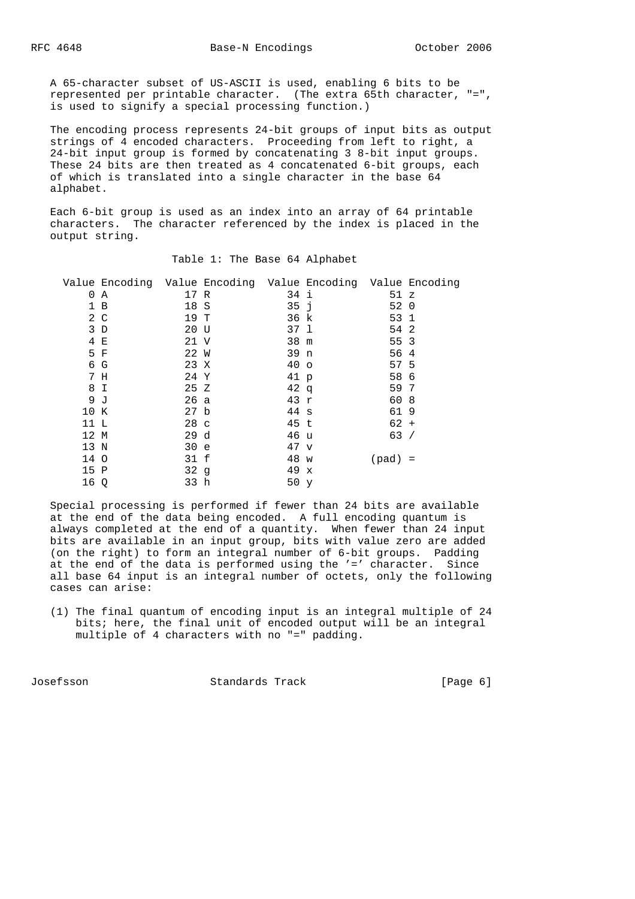A 65-character subset of US-ASCII is used, enabling 6 bits to be represented per printable character. (The extra 65th character, "=", is used to signify a special processing function.)

 The encoding process represents 24-bit groups of input bits as output strings of 4 encoded characters. Proceeding from left to right, a 24-bit input group is formed by concatenating 3 8-bit input groups. These 24 bits are then treated as 4 concatenated 6-bit groups, each of which is translated into a single character in the base 64 alphabet.

 Each 6-bit group is used as an index into an array of 64 printable characters. The character referenced by the index is placed in the output string.

|          | Value Encoding Value Encoding Value Encoding Value Encoding |                 |                 |           |  |
|----------|-------------------------------------------------------------|-----------------|-----------------|-----------|--|
| $\Omega$ | A                                                           | 17 R            | 34 i            | 51 z      |  |
|          | 1 B                                                         | 18 S            | 35 <sub>1</sub> | 52 0      |  |
|          | $2\degree$ C                                                | 19 T            | 36 k            | 53 1      |  |
|          | $3\,D$                                                      | 20 U            | 37 1            | 54 2      |  |
|          | 4 E                                                         | 21 V            | 38 m            | 55 3      |  |
|          | 5 F                                                         | 22 W            | 39 n            | 56 4      |  |
|          | 6 G                                                         | 23 X            | 40 <sub>o</sub> | 57 5      |  |
|          | 7 H                                                         | 24 Y            | 41 p            | 58 6      |  |
|          | 8 I                                                         | 25Z             | $42 \sigma$     | 59 7      |  |
|          | 9 <sub>o</sub>                                              | 26a             | 43 $r$          | 60 8      |  |
| 10 K     |                                                             | 27 b            | $44 \text{ s}$  | 619       |  |
| 11 L     |                                                             | 28 <sub>c</sub> | 45 t            | $62 +$    |  |
| 12 M     |                                                             | 29 d            | 46 u            | 63/       |  |
| 13 N     |                                                             | 30 e            | $47 \text{ v}$  |           |  |
| 14 O     |                                                             | 31 f            | 48 w            | $(pad) =$ |  |
| 15 P     |                                                             | 32q             | 49 x            |           |  |
| 16 Q     |                                                             | 33 h            | 50 <sub>y</sub> |           |  |
|          |                                                             |                 |                 |           |  |

# Table 1: The Base 64 Alphabet

 Special processing is performed if fewer than 24 bits are available at the end of the data being encoded. A full encoding quantum is always completed at the end of a quantity. When fewer than 24 input bits are available in an input group, bits with value zero are added (on the right) to form an integral number of 6-bit groups. Padding at the end of the data is performed using the '=' character. Since all base 64 input is an integral number of octets, only the following cases can arise:

 (1) The final quantum of encoding input is an integral multiple of 24 bits; here, the final unit of encoded output will be an integral multiple of 4 characters with no "=" padding.

Josefsson Standards Track [Page 6]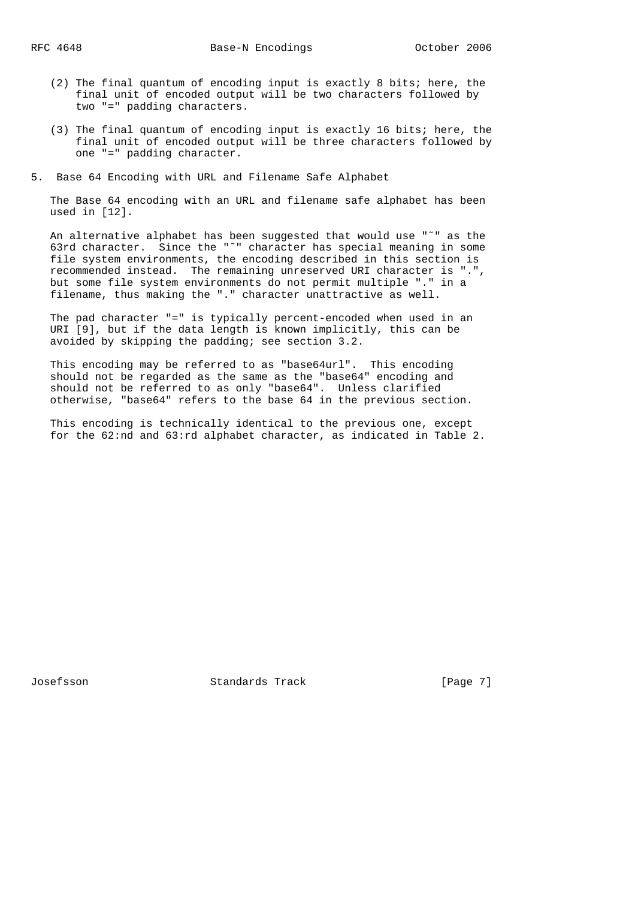- (2) The final quantum of encoding input is exactly 8 bits; here, the final unit of encoded output will be two characters followed by two "=" padding characters.
- (3) The final quantum of encoding input is exactly 16 bits; here, the final unit of encoded output will be three characters followed by one "=" padding character.
- 5. Base 64 Encoding with URL and Filename Safe Alphabet

 The Base 64 encoding with an URL and filename safe alphabet has been used in [12].

 An alternative alphabet has been suggested that would use "˜" as the 63rd character. Since the "˜" character has special meaning in some file system environments, the encoding described in this section is recommended instead. The remaining unreserved URI character is ".", but some file system environments do not permit multiple "." in a filename, thus making the "." character unattractive as well.

 The pad character "=" is typically percent-encoded when used in an URI [9], but if the data length is known implicitly, this can be avoided by skipping the padding; see section 3.2.

 This encoding may be referred to as "base64url". This encoding should not be regarded as the same as the "base64" encoding and should not be referred to as only "base64". Unless clarified otherwise, "base64" refers to the base 64 in the previous section.

 This encoding is technically identical to the previous one, except for the 62:nd and 63:rd alphabet character, as indicated in Table 2.

Josefsson Standards Track [Page 7]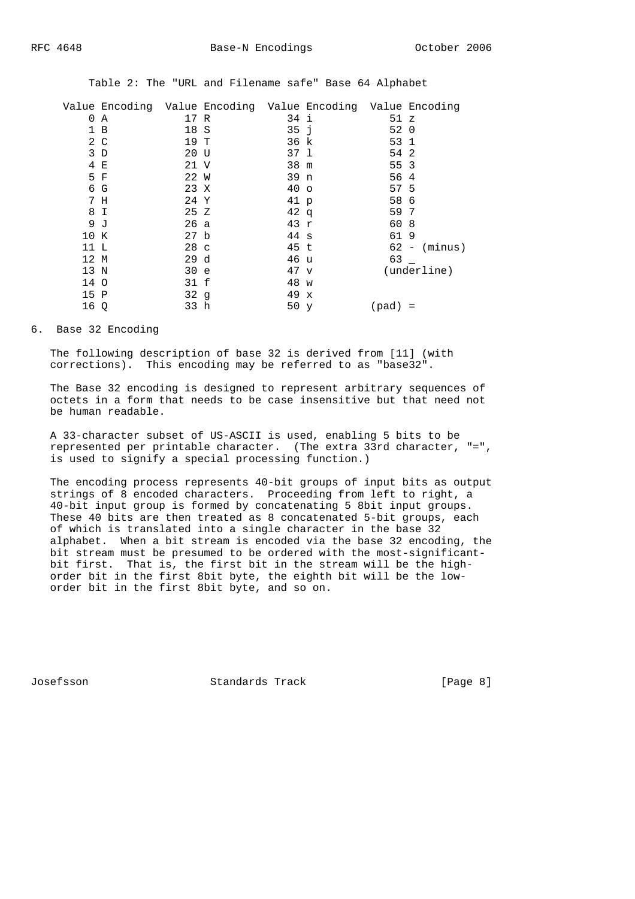|  |  |  |  |  |  |  |  | Table 2: The "URL and Filename safe" Base 64 Alphabet |
|--|--|--|--|--|--|--|--|-------------------------------------------------------|
|--|--|--|--|--|--|--|--|-------------------------------------------------------|

|      | Value Encoding Value Encoding Value Encoding Value Encoding |                 |                 |           |                |
|------|-------------------------------------------------------------|-----------------|-----------------|-----------|----------------|
| 0    | Α                                                           | 17 R            | 34 i            | 51 z      |                |
|      | 1 B                                                         | 18 S            | 35j             | 52 0      |                |
|      | $2\degree$ C                                                | 19 T            | 36 k            | 53 1      |                |
|      | 3D                                                          | 20 U            | 37 1            | 54 2      |                |
|      | 4 E                                                         | 21 V            | 38 m            | 55 3      |                |
|      | 5 F                                                         | 22 W            | 39 n            | 56 4      |                |
|      | 6 G                                                         | 23 X            | 40 <sub>o</sub> | 57 5      |                |
|      | 7 H                                                         | 24 Y            | 41 p            | 58 6      |                |
|      | 8 I                                                         | 25 Z            | 42q             | 59 7      |                |
|      | 9 J                                                         | 26 a            | 43 $r$          | 60 8      |                |
| 10 K |                                                             | 27 <sub>b</sub> | $44 \text{ s}$  | 619       |                |
| 11 L |                                                             | 28 <sub>c</sub> | 45 t            |           | $62 - (minus)$ |
| 12 M |                                                             | 29d             | 46 u            | 63        |                |
| 13 N |                                                             | 30 e            | $47 \text{ v}$  |           | (underline)    |
| 14 O |                                                             | 31 f            | 48 w            |           |                |
| 15 P |                                                             | 32 <sub>g</sub> | 49 x            |           |                |
| 16 Q |                                                             | 33 h            | 50 y            | $(pad) =$ |                |

## 6. Base 32 Encoding

 The following description of base 32 is derived from [11] (with corrections). This encoding may be referred to as "base32".

 The Base 32 encoding is designed to represent arbitrary sequences of octets in a form that needs to be case insensitive but that need not be human readable.

 A 33-character subset of US-ASCII is used, enabling 5 bits to be represented per printable character. (The extra 33rd character, "=", is used to signify a special processing function.)

 The encoding process represents 40-bit groups of input bits as output strings of 8 encoded characters. Proceeding from left to right, a 40-bit input group is formed by concatenating 5 8bit input groups. These 40 bits are then treated as 8 concatenated 5-bit groups, each of which is translated into a single character in the base 32 alphabet. When a bit stream is encoded via the base 32 encoding, the bit stream must be presumed to be ordered with the most-significant bit first. That is, the first bit in the stream will be the high order bit in the first 8bit byte, the eighth bit will be the low order bit in the first 8bit byte, and so on.

Josefsson Standards Track [Page 8]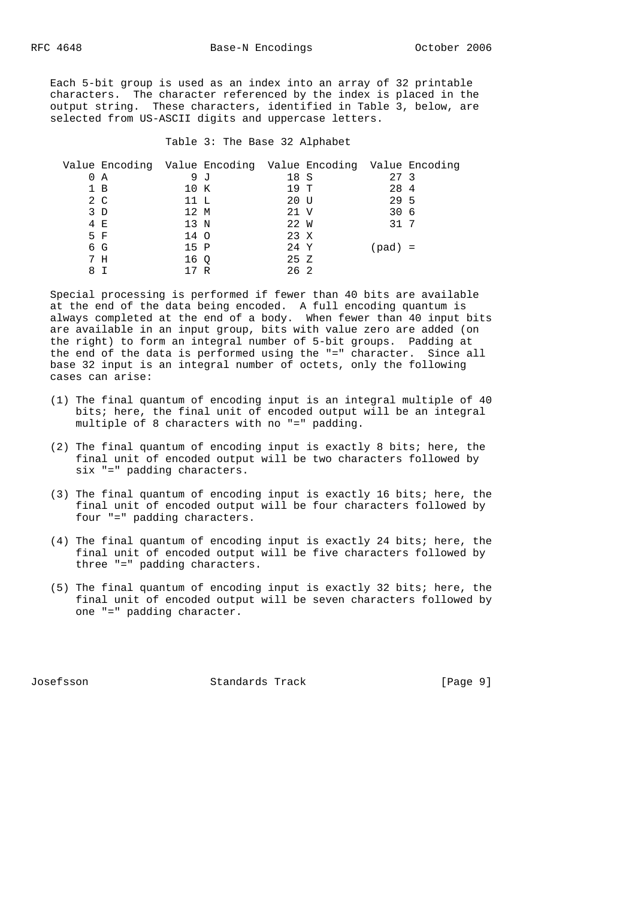Each 5-bit group is used as an index into an array of 32 printable characters. The character referenced by the index is placed in the output string. These characters, identified in Table 3, below, are selected from US-ASCII digits and uppercase letters.

# Table 3: The Base 32 Alphabet

|   | Value Encoding Value Encoding Value Encoding Value Encoding |      |     |      |                 |  |
|---|-------------------------------------------------------------|------|-----|------|-----------------|--|
|   | 0 A                                                         |      | 9 J | 18 S | 27 <sub>3</sub> |  |
|   | 1 B                                                         | 10 K |     | 19 T | 28 4            |  |
|   | 2 C                                                         | 11 L |     | 20 U | 29 5            |  |
|   | 3 D                                                         | 12 M |     | 21 V | 30 <sub>6</sub> |  |
|   | 4 E                                                         | 13 N |     | 22 W | 31 7            |  |
|   | 5 F                                                         | 14 O |     | 23 X |                 |  |
|   | 6 G                                                         | 15 P |     | 24 Y | (pad) =         |  |
|   | 7 H                                                         | 16 O |     | 25 Z |                 |  |
| 8 |                                                             |      | R   | 26 2 |                 |  |

 Special processing is performed if fewer than 40 bits are available at the end of the data being encoded. A full encoding quantum is always completed at the end of a body. When fewer than 40 input bits are available in an input group, bits with value zero are added (on the right) to form an integral number of 5-bit groups. Padding at the end of the data is performed using the "=" character. Since all base 32 input is an integral number of octets, only the following cases can arise:

- (1) The final quantum of encoding input is an integral multiple of 40 bits; here, the final unit of encoded output will be an integral multiple of 8 characters with no "=" padding.
- (2) The final quantum of encoding input is exactly 8 bits; here, the final unit of encoded output will be two characters followed by six "=" padding characters.
- (3) The final quantum of encoding input is exactly 16 bits; here, the final unit of encoded output will be four characters followed by four "=" padding characters.
- (4) The final quantum of encoding input is exactly 24 bits; here, the final unit of encoded output will be five characters followed by three "=" padding characters.
- (5) The final quantum of encoding input is exactly 32 bits; here, the final unit of encoded output will be seven characters followed by one "=" padding character.

Josefsson Standards Track [Page 9]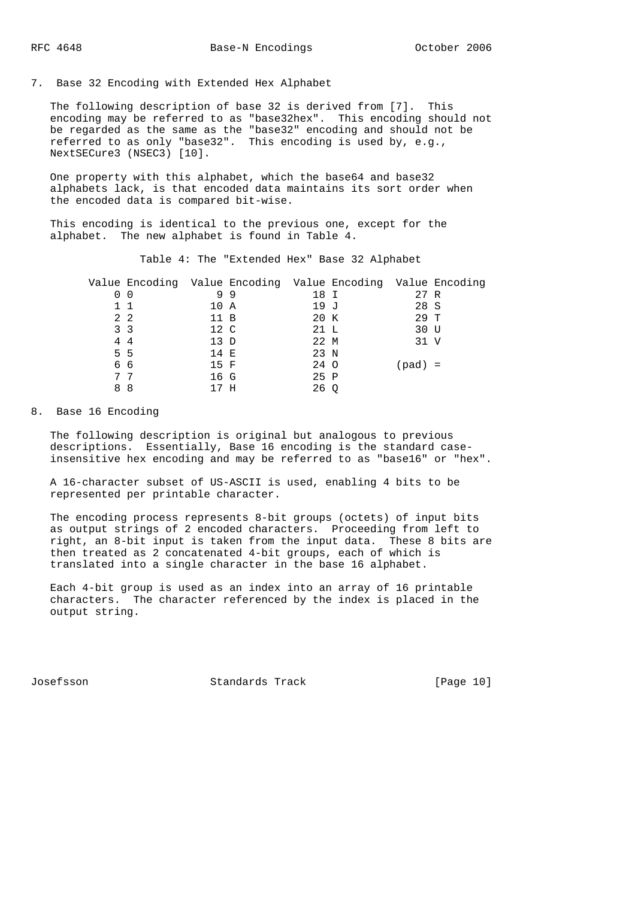7. Base 32 Encoding with Extended Hex Alphabet

 The following description of base 32 is derived from [7]. This encoding may be referred to as "base32hex". This encoding should not be regarded as the same as the "base32" encoding and should not be referred to as only "base32". This encoding is used by, e.g., NextSECure3 (NSEC3) [10].

 One property with this alphabet, which the base64 and base32 alphabets lack, is that encoded data maintains its sort order when the encoded data is compared bit-wise.

 This encoding is identical to the previous one, except for the alphabet. The new alphabet is found in Table 4.

Table 4: The "Extended Hex" Base 32 Alphabet

| Value Encoding Value Encoding Value Encoding Value Encoding |      |    |      |         |  |
|-------------------------------------------------------------|------|----|------|---------|--|
| 0 <sub>0</sub>                                              |      | 99 | 18 I | 27 R    |  |
| $1\quad1$                                                   | 10 A |    | 19 J | 28 S    |  |
| $2\quad 2$                                                  | 11 B |    | 20 K | 29 T    |  |
| 3 <sub>3</sub>                                              | 12 C |    | 21 L | 30 U    |  |
| 44                                                          | 13 D |    | 22 M | 31 V    |  |
| 5 5                                                         | 14 E |    | 23 N |         |  |
| 66                                                          | 15 F |    | 24 O | (pad) = |  |
| 77                                                          | 16 G |    | 25 P |         |  |
| 88                                                          | 17 H |    | 26 Q |         |  |

# 8. Base 16 Encoding

 The following description is original but analogous to previous descriptions. Essentially, Base 16 encoding is the standard case insensitive hex encoding and may be referred to as "base16" or "hex".

 A 16-character subset of US-ASCII is used, enabling 4 bits to be represented per printable character.

 The encoding process represents 8-bit groups (octets) of input bits as output strings of 2 encoded characters. Proceeding from left to right, an 8-bit input is taken from the input data. These 8 bits are then treated as 2 concatenated 4-bit groups, each of which is translated into a single character in the base 16 alphabet.

 Each 4-bit group is used as an index into an array of 16 printable characters. The character referenced by the index is placed in the output string.

Josefsson Standards Track [Page 10]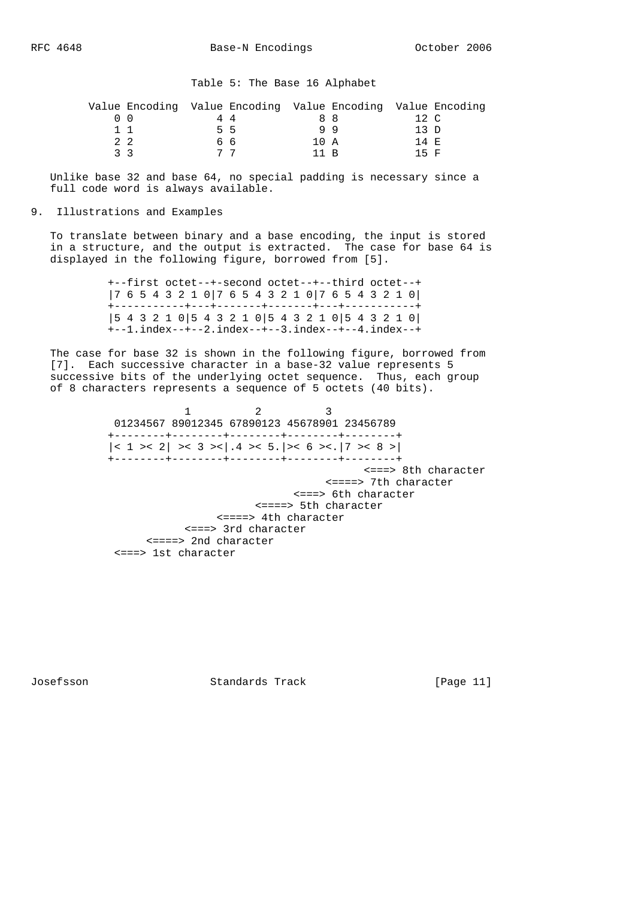|             | Value Encoding Value Encoding Value Encoding Value Encoding |    |      |     |       |  |
|-------------|-------------------------------------------------------------|----|------|-----|-------|--|
|             |                                                             | 44 |      | 8 R | 12 C  |  |
|             |                                                             | 55 |      | 99  | ת 13  |  |
| $2 \quad 2$ |                                                             | 66 | 10 A |     | 14 F. |  |
| २ २         |                                                             |    | 11 R |     | 15 F  |  |

 Unlike base 32 and base 64, no special padding is necessary since a full code word is always available.

## 9. Illustrations and Examples

 To translate between binary and a base encoding, the input is stored in a structure, and the output is extracted. The case for base 64 is displayed in the following figure, borrowed from [5].

> +--first octet--+-second octet--+--third octet--+ |7 6 5 4 3 2 1 0|7 6 5 4 3 2 1 0|7 6 5 4 3 2 1 0| +-----------+---+-------+-------+---+-----------+ |5 4 3 2 1 0|5 4 3 2 1 0|5 4 3 2 1 0|5 4 3 2 1 0| +--1.index--+--2.index--+--3.index--+--4.index--+

 The case for base 32 is shown in the following figure, borrowed from [7]. Each successive character in a base-32 value represents 5 successive bits of the underlying octet sequence. Thus, each group of 8 characters represents a sequence of 5 octets (40 bits).

1 2 3 01234567 89012345 67890123 45678901 23456789 +--------+--------+--------+--------+--------+  $|< 1 > < 2| > < 3 > < | .4 > < 5. | > < 6 > < | 7 > < 8 > |$  +--------+--------+--------+--------+--------+ <===> 8th character <====> 7th character <===> 6th character <====> 5th character <====> 4th character <===> 3rd character <====> 2nd character <===> 1st character

Josefsson Standards Track [Page 11]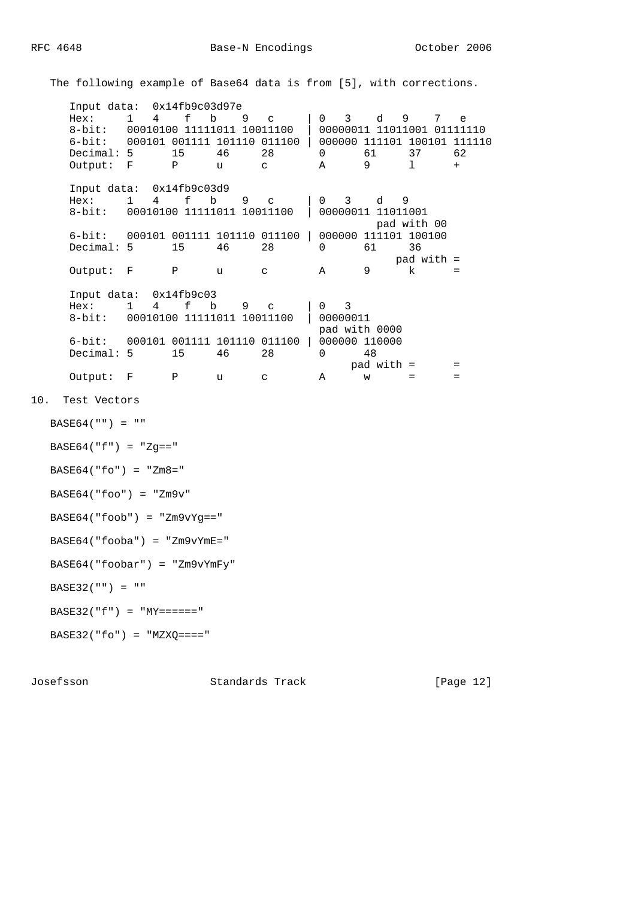The following example of Base64 data is from [5], with corrections.

 Input data: 0x14fb9c03d97e Hex: 1 4 f b 9 c | 0 3 d 9 7 e 8-bit: 00010100 11111011 10011100 | 00000011 11011001 01111110 6-bit: 000101 001111 101110 011100 | 000000 111101 100101 111110 Decimal: 5 15 46 28 0 61 37 62 Output: F P u c A 9 l + Input data: 0x14fb9c03d9 Hex: 1 4 f b 9 c | 0 3 d 9 8-bit: 00010100 11111011 10011100 | 00000011 11011001 pad with 00 6-bit: 000101 001111 101110 011100 | 000000 111101 100100 Decimal: 5 15 46 28 0 61 36  $pad with =$ <br> $k ==$ Output: F P u c A 9 Input data: 0x14fb9c03 Hex: 1 4 f b 9 c | 0 3 8-bit: 00010100 11111011 10011100 | 00000011 pad with 0000 6-bit: 000101 001111 101110 011100 | 000000 110000 Decimal: 5 15 46 28 0 48 pad with = = Output:  $F$  P u c A  $W =$ 10. Test Vectors  $BASE64("") = ""$  $BASE64("f") = "Zg =="$  $BASE64(''fo'') = "Zm8="$  $BASE64('foo") = "Zm9v"$  $BASE64('foob") = "Zm9vYg=="$  BASE64("fooba") = "Zm9vYmE=" BASE64("foobar") = "Zm9vYmFy" BASE32("") = "" BASE32("f") = " $MY == == "$  $BASE32("fo") = "MZXQ == "$ 

Josefsson Standards Track [Page 12]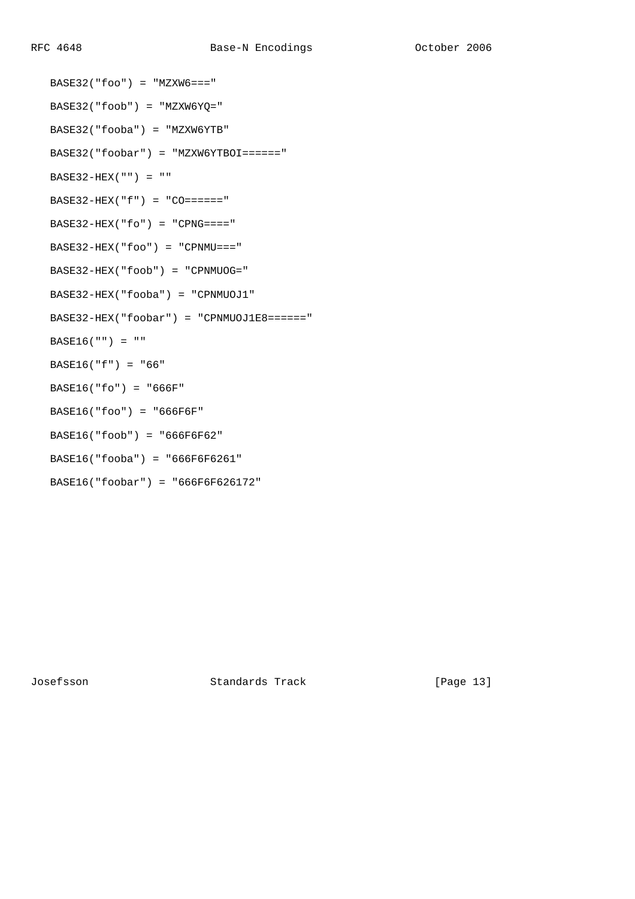```
BASE32("foo") = "MZXW6 == " BASE32("foob") = "MZXW6YQ="
 BASE32("fooba") = "MZXW6YTB"
 BASE32("foobar") = "MZXW6YTBOI======"
BASE32-HEX("") = "BASE32-HEX("f") = "CO=----"BASE32-HEX("fo") = "CPNG===""BASE32-HEX("foo") = "CPNMU==" BASE32-HEX("foob") = "CPNMUOG="
 BASE32-HEX("fooba") = "CPNMUOJ1"
 BASE32-HEX("foobar") = "CPNMUOJ1E8======"
BASE16("") = " BASE16("f") = "66"
 BASE16("fo") = "666F"
 BASE16("foo") = "666F6F"
 BASE16("foob") = "666F6F62"
 BASE16("fooba") = "666F6F6261"
 BASE16("foobar") = "666F6F626172"
```
Josefsson Standards Track [Page 13]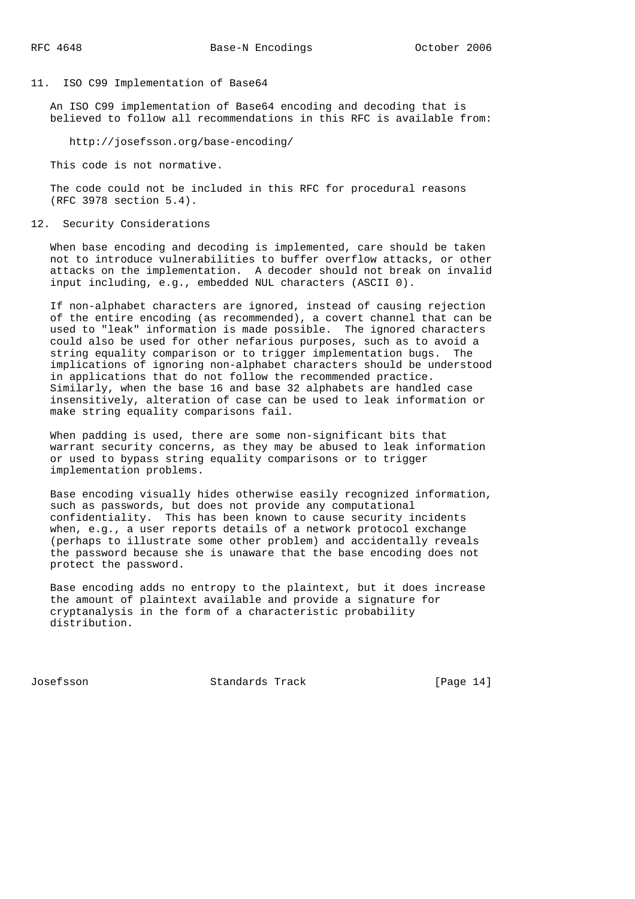## 11. ISO C99 Implementation of Base64

 An ISO C99 implementation of Base64 encoding and decoding that is believed to follow all recommendations in this RFC is available from:

http://josefsson.org/base-encoding/

This code is not normative.

 The code could not be included in this RFC for procedural reasons (RFC 3978 section 5.4).

### 12. Security Considerations

 When base encoding and decoding is implemented, care should be taken not to introduce vulnerabilities to buffer overflow attacks, or other attacks on the implementation. A decoder should not break on invalid input including, e.g., embedded NUL characters (ASCII 0).

 If non-alphabet characters are ignored, instead of causing rejection of the entire encoding (as recommended), a covert channel that can be used to "leak" information is made possible. The ignored characters could also be used for other nefarious purposes, such as to avoid a string equality comparison or to trigger implementation bugs. The implications of ignoring non-alphabet characters should be understood in applications that do not follow the recommended practice. Similarly, when the base 16 and base 32 alphabets are handled case insensitively, alteration of case can be used to leak information or make string equality comparisons fail.

 When padding is used, there are some non-significant bits that warrant security concerns, as they may be abused to leak information or used to bypass string equality comparisons or to trigger implementation problems.

 Base encoding visually hides otherwise easily recognized information, such as passwords, but does not provide any computational confidentiality. This has been known to cause security incidents when, e.g., a user reports details of a network protocol exchange (perhaps to illustrate some other problem) and accidentally reveals the password because she is unaware that the base encoding does not protect the password.

 Base encoding adds no entropy to the plaintext, but it does increase the amount of plaintext available and provide a signature for cryptanalysis in the form of a characteristic probability distribution.

Josefsson Standards Track [Page 14]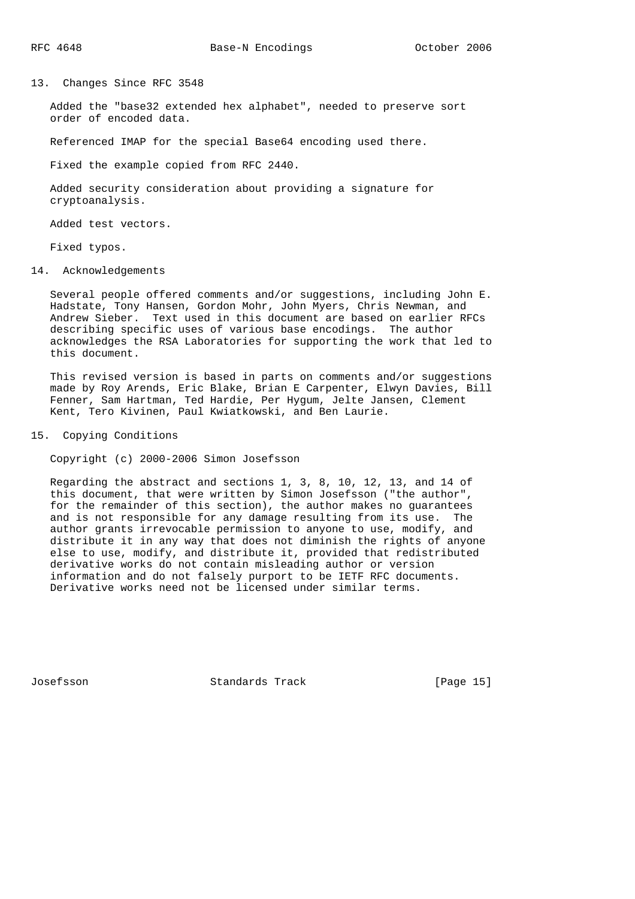13. Changes Since RFC 3548

 Added the "base32 extended hex alphabet", needed to preserve sort order of encoded data.

Referenced IMAP for the special Base64 encoding used there.

Fixed the example copied from RFC 2440.

 Added security consideration about providing a signature for cryptoanalysis.

Added test vectors.

Fixed typos.

14. Acknowledgements

 Several people offered comments and/or suggestions, including John E. Hadstate, Tony Hansen, Gordon Mohr, John Myers, Chris Newman, and Andrew Sieber. Text used in this document are based on earlier RFCs describing specific uses of various base encodings. The author acknowledges the RSA Laboratories for supporting the work that led to this document.

 This revised version is based in parts on comments and/or suggestions made by Roy Arends, Eric Blake, Brian E Carpenter, Elwyn Davies, Bill Fenner, Sam Hartman, Ted Hardie, Per Hygum, Jelte Jansen, Clement Kent, Tero Kivinen, Paul Kwiatkowski, and Ben Laurie.

15. Copying Conditions

Copyright (c) 2000-2006 Simon Josefsson

 Regarding the abstract and sections 1, 3, 8, 10, 12, 13, and 14 of this document, that were written by Simon Josefsson ("the author", for the remainder of this section), the author makes no guarantees and is not responsible for any damage resulting from its use. The author grants irrevocable permission to anyone to use, modify, and distribute it in any way that does not diminish the rights of anyone else to use, modify, and distribute it, provided that redistributed derivative works do not contain misleading author or version information and do not falsely purport to be IETF RFC documents. Derivative works need not be licensed under similar terms.

Josefsson Standards Track [Page 15]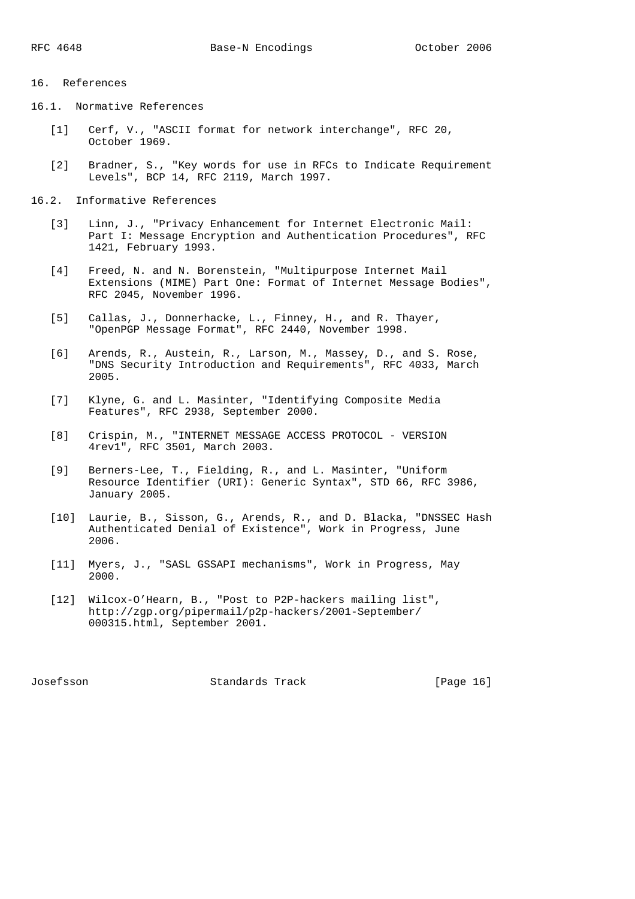# 16. References

16.1. Normative References

- [1] Cerf, V., "ASCII format for network interchange", RFC 20, October 1969.
- [2] Bradner, S., "Key words for use in RFCs to Indicate Requirement Levels", BCP 14, RFC 2119, March 1997.
- 16.2. Informative References
	- [3] Linn, J., "Privacy Enhancement for Internet Electronic Mail: Part I: Message Encryption and Authentication Procedures", RFC 1421, February 1993.
	- [4] Freed, N. and N. Borenstein, "Multipurpose Internet Mail Extensions (MIME) Part One: Format of Internet Message Bodies", RFC 2045, November 1996.
	- [5] Callas, J., Donnerhacke, L., Finney, H., and R. Thayer, "OpenPGP Message Format", RFC 2440, November 1998.
	- [6] Arends, R., Austein, R., Larson, M., Massey, D., and S. Rose, "DNS Security Introduction and Requirements", RFC 4033, March 2005.
	- [7] Klyne, G. and L. Masinter, "Identifying Composite Media Features", RFC 2938, September 2000.
	- [8] Crispin, M., "INTERNET MESSAGE ACCESS PROTOCOL VERSION 4rev1", RFC 3501, March 2003.
	- [9] Berners-Lee, T., Fielding, R., and L. Masinter, "Uniform Resource Identifier (URI): Generic Syntax", STD 66, RFC 3986, January 2005.
	- [10] Laurie, B., Sisson, G., Arends, R., and D. Blacka, "DNSSEC Hash Authenticated Denial of Existence", Work in Progress, June 2006.
	- [11] Myers, J., "SASL GSSAPI mechanisms", Work in Progress, May 2000.
	- [12] Wilcox-O'Hearn, B., "Post to P2P-hackers mailing list", http://zgp.org/pipermail/p2p-hackers/2001-September/ 000315.html, September 2001.

Josefsson Standards Track [Page 16]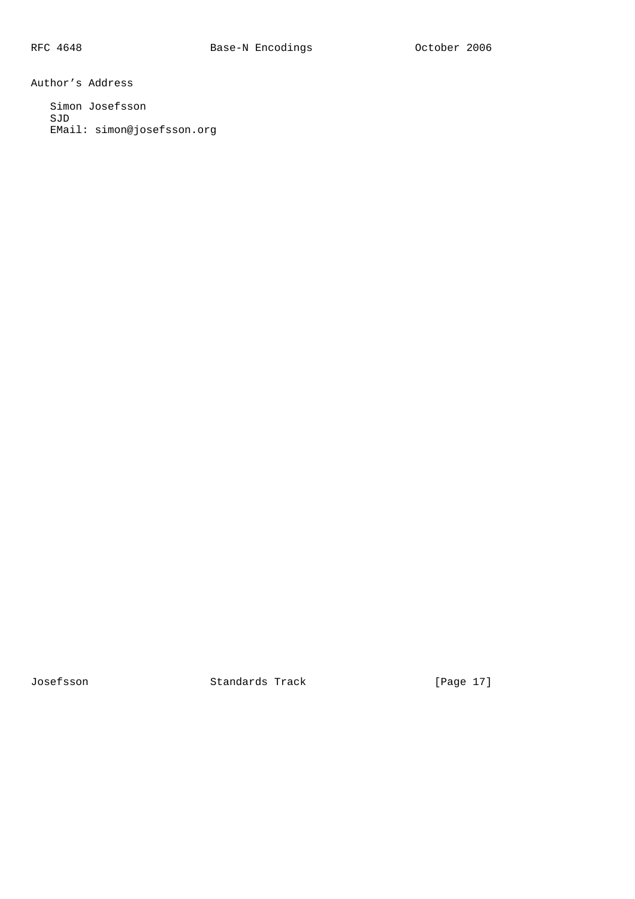Author's Address

 Simon Josefsson SJD EMail: simon@josefsson.org

Josefsson Standards Track [Page 17]